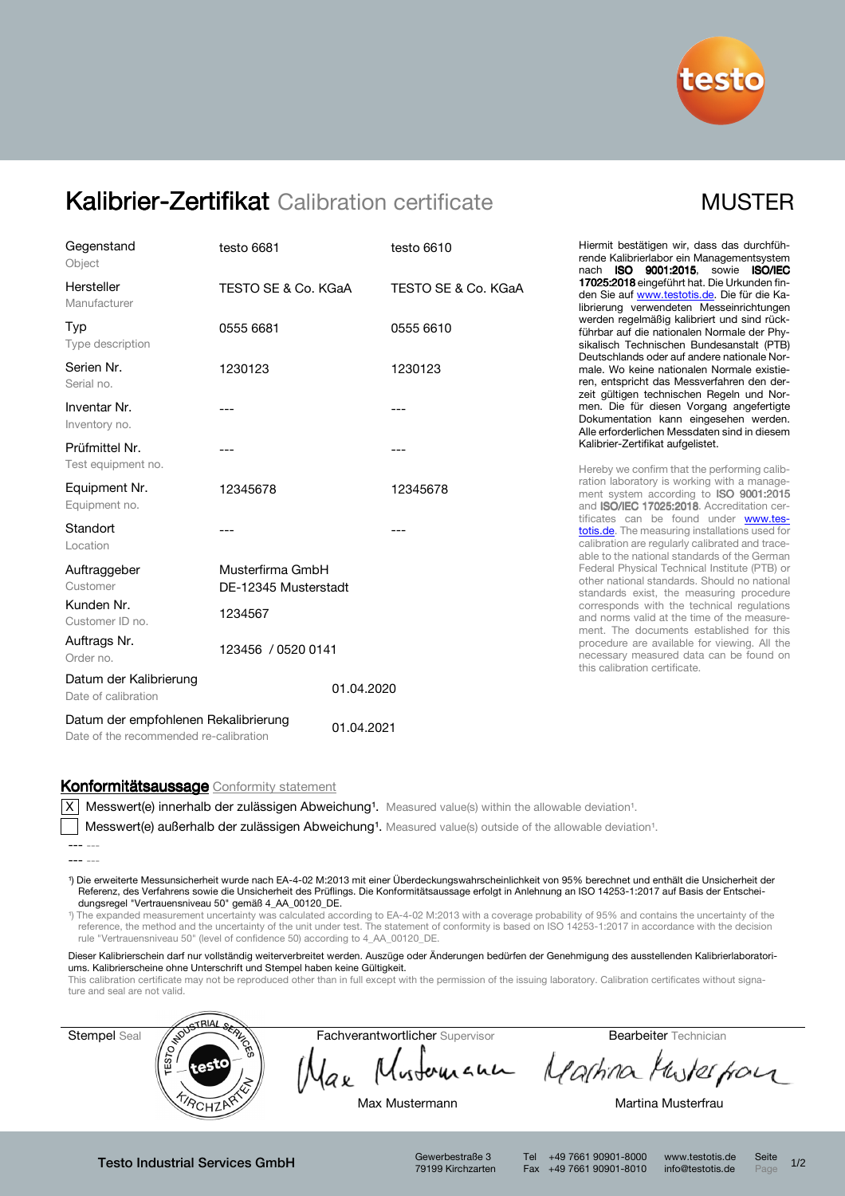

# Kalibrier-Zertifikat Calibration certificate MUSTER

| Gegenstand<br>Object                                                           | testo 6681                               |            | testo 6610          |  |
|--------------------------------------------------------------------------------|------------------------------------------|------------|---------------------|--|
| Hersteller<br>Manufacturer                                                     | TESTO SE & Co. KGaA                      |            | TESTO SE & Co. KGaA |  |
| Typ<br>Type description                                                        | 0555 6681                                |            | 0555 6610           |  |
| Serien Nr.<br>Serial no.                                                       | 1230123                                  |            | 1230123             |  |
| Inventar Nr.<br>Inventory no.                                                  | ---                                      |            | ---                 |  |
| Prüfmittel Nr.<br>Test equipment no.                                           | ---                                      |            | ---                 |  |
| Equipment Nr.<br>Equipment no.                                                 | 12345678                                 |            | 12345678            |  |
| Standort<br>Location                                                           |                                          |            |                     |  |
| Auftraggeber<br>Customer                                                       | Musterfirma GmbH<br>DE-12345 Musterstadt |            |                     |  |
| Kunden Nr.<br>Customer ID no.                                                  | 1234567                                  |            |                     |  |
| Auftrags Nr.<br>Order no.                                                      | 123456 / 0520 0141                       |            |                     |  |
| Datum der Kalibrierung<br>Date of calibration                                  |                                          | 01.04.2020 |                     |  |
| Datum der empfohlenen Rekalibrierung<br>Date of the recommended re-calibration |                                          | 01.04.2021 |                     |  |

Hiermit bestätigen wir, dass das durchführende Kalibrierlabor ein Managementsystem nach ISO 9001:2015, sowie ISO/IEC 17025:2018 eingeführt hat. Die Urkunden finden Sie auf www.testotis.de. Die für die Kalibrierung verwendeten Messeinrichtungen werden regelmäßig kalibriert und sind rückführbar auf die nationalen Normale der Physikalisch Technischen Bundesanstalt (PTB) Deutschlands oder auf andere nationale Normale. Wo keine nationalen Normale existieren, entspricht das Messverfahren den derzeit gültigen technischen Regeln und Normen. Die für diesen Vorgang angefertigte Dokumentation kann eingesehen werden. Alle erforderlichen Messdaten sind in diesem Kalibrier-Zertifikat aufgelistet.

Hereby we confirm that the performing calibration laboratory is working with a management system according to **ISO 9001:2015** and ISO/IEC 17025:2018. Accreditation certificates can be found under www.testotis.de. The measuring installations used for calibration are regularly calibrated and traceable to the national standards of the German Federal Physical Technical Institute (PTB) or other national standards. Should no national standards exist, the measuring procedure corresponds with the technical regulations and norms valid at the time of the measurement. The documents established for this procedure are available for viewing. All the necessary measured data can be found on this calibration certificate.

## Konformitätsaussage Conformity statement

 $|X|$  Messwert(e) innerhalb der zulässigen Abweichung<sup>1</sup>. Measured value(s) within the allowable deviation<sup>1</sup>.

Messwert(e) außerhalb der zulässigen Abweichung<sup>1</sup>. Measured value(s) outside of the allowable deviation<sup>1</sup>.

¹) Die erweiterte Messunsicherheit wurde nach EA-4-02 M:2013 mit einer Überdeckungswahrscheinlichkeit von 95% berechnet und enthält die Unsicherheit der Referenz, des Verfahrens sowie die Unsicherheit des Prüflings. Die Konformitätsaussage erfolgt in Anlehnung an ISO 14253-1:2017 auf Basis der Entscheidungsregel "Vertrauensniveau 50" gemäß 4\_AA\_00120\_DE.

¹) The expanded measurement uncertainty was calculated according to EA-4-02 M:2013 with a coverage probability of 95% and contains the uncertainty of the reference, the method and the uncertainty of the unit under test. The statement of conformity is based on ISO 14253-1:2017 in accordance with the decision rule "Vertrauensniveau 50" (level of confidence 50) according to 4\_AA\_00120\_DE.

Dieser Kalibrierschein darf nur vollständig weiterverbreitet werden. Auszüge oder Änderungen bedürfen der Genehmigung des ausstellenden Kalibrierlaboratoriums. Kalibrierscheine ohne Unterschrift und Stempel haben keine Gültigkeit.

This calibration certificate may not be reproduced other than in full except with the permission of the issuing laboratory. Calibration certificates without signature and seal are not valid.



Testo Industrial Services GmbH Gewerbestraße 3

79199 Kirchzarten

Tel +49 7661 90901-8000 www.testotis.de Seite 1/2 Fax +49 7661 90901-8010 info@testotis.de Page

<sup>---</sup> ---